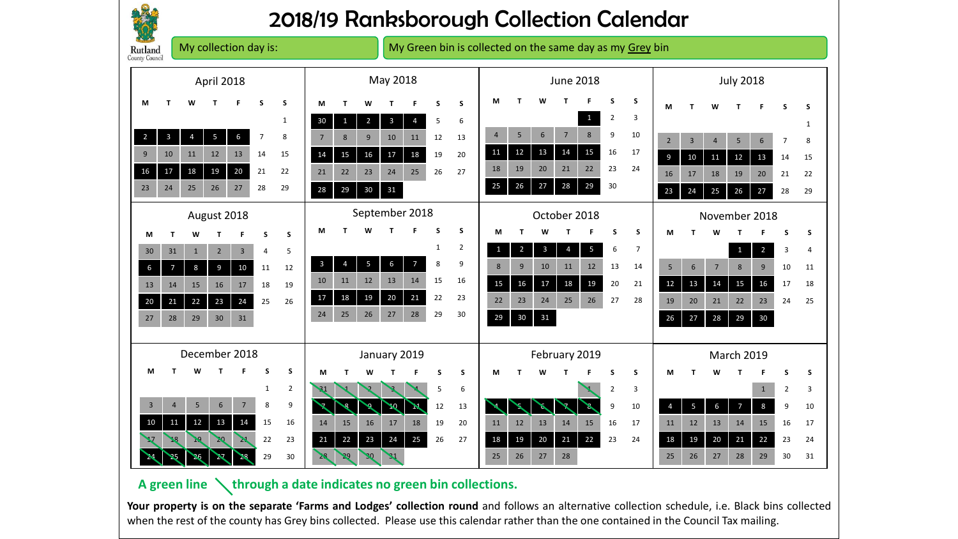

## 2018/19 Ranksborough Collection Calendar

| My collection day is:<br><b>Rutland</b><br>County Council |                |                |                         |                 |                | My Green bin is collected on the same day as my Grey bin |                |                |                |                |                           |    |                |                |                |                |                  |                         |                |                |                        |                         |                |                |                |                |              |
|-----------------------------------------------------------|----------------|----------------|-------------------------|-----------------|----------------|----------------------------------------------------------|----------------|----------------|----------------|----------------|---------------------------|----|----------------|----------------|----------------|----------------|------------------|-------------------------|----------------|----------------|------------------------|-------------------------|----------------|----------------|----------------|----------------|--------------|
| April 2018                                                |                |                |                         |                 |                |                                                          | May 2018       |                |                |                | <b>June 2018</b>          |    |                |                |                |                | <b>July 2018</b> |                         |                |                |                        |                         |                |                |                |                |              |
| M                                                         | т              |                |                         |                 | S              | S                                                        | M              | Т              | w              |                |                           | S  | S              | М              |                |                |                  |                         | .S             | S              | M                      |                         | w              |                |                | s              | S            |
|                                                           |                |                |                         |                 |                | $\mathbf{1}$                                             | 30             | $\mathbf{1}$   | $\overline{2}$ | $\overline{3}$ | $\overline{4}$            | 5  | 6              |                |                |                |                  | 1                       | $\overline{2}$ | 3              |                        |                         |                |                |                |                | $\mathbf{1}$ |
| $\overline{2}$                                            | $\overline{3}$ | $\overline{4}$ | $\overline{\mathbf{5}}$ | $6\phantom{a}$  | $\overline{7}$ | 8                                                        | $\overline{7}$ | 8              | 9              | 10             | 11                        | 12 | 13             | $\overline{4}$ | 5              | 6              | $\overline{7}$   | 8                       | 9              | 10             | $\overline{2}$         | $\overline{3}$          | $\overline{4}$ | 5              | 6              | 7              | 8            |
| 9                                                         | 10             | 11             | 12                      | 13              | 14             | 15                                                       | 14             | 15             | 16             | 17             | 18                        | 19 | 20             | 11             | 12             | 13             | 14               | 15                      | 16             | 17             | 9                      | 10                      | 11             | 12             | 13             | 14             | 15           |
| 16                                                        | 17             | 18             | 19                      | 20              | 21             | 22                                                       | 21             | 22             | 23             | 24             | 25                        | 26 | 27             | 18             | 19             | 20             | 21               | 22                      | 23             | 24             | 16                     | 17                      | 18             | 19             | 20             | 21             | 22           |
| 23                                                        | 24             | 25             | 26                      | 27              | 28             | 29                                                       | 28             | 29             | 30             | 31             |                           |    |                | 25             | 26             | 27             | 28               | 29                      | 30             |                | 23                     | 24                      | 25             | 26             | 27             | 28             | 29           |
| August 2018                                               |                |                |                         |                 |                |                                                          | September 2018 |                |                |                |                           |    | October 2018   |                |                |                |                  |                         | November 2018  |                |                        |                         |                |                |                |                |              |
| M                                                         | т              | W              |                         |                 |                | S                                                        | M              |                |                |                |                           | S  | S              | M              | т              | W              |                  |                         | s              | S              | M                      |                         |                |                |                | S              | S            |
| 30                                                        | 31             | $\mathbf{1}$   | $\overline{2}$          | $\overline{3}$  | 4              | 5                                                        |                |                |                |                |                           | 1  | $\overline{2}$ | $\mathbf{1}$   | $\overline{2}$ | $\overline{3}$ | $\overline{4}$   | $\overline{\mathbf{5}}$ | 6              | $\overline{7}$ |                        |                         |                | $\mathbf{1}$   | $\overline{2}$ | 3              | 4            |
| $\boldsymbol{6}$                                          | $\overline{7}$ | 8              | 9                       | 10              | 11             | 12                                                       | $\overline{3}$ | $\overline{4}$ | 5              | 6              | 7                         | 8  | 9              | 8              | 9              | 10             | 11               | 12                      | 13             | 14             | 5                      | $6\phantom{1}$          | $\overline{7}$ | 8              | 9              | 10             | 11           |
| 13                                                        | 14             | 15             | 16                      | 17              | 18             | 19                                                       | 10             | 11             | 12             | 13             | 14                        | 15 | 16             | 15             | 16             | $17$           | 18               | 19                      | 20             | 21             | 12                     | 13                      | 14             | 15             | 16             | 17             | 18           |
| $20\,$                                                    | 21             | 22             | 23                      | 24              | 25             | 26                                                       | 17             | 18             | 19             | 20             | 21                        | 22 | 23             | 22             | 23             | 24             | 25               | 26                      | 27             | 28             | 19                     | 20                      | 21             | 22             | 23             | 24             | 25           |
| 27                                                        | 28             | 29             | 30                      | 31              |                |                                                          | 24             | 25             | 26             | 27             | 28                        | 29 | 30             | 29             | 30             | 31             |                  |                         |                |                | 26                     | 27                      | 28             | 29             | 30             |                |              |
|                                                           |                |                |                         |                 |                |                                                          |                |                |                |                |                           |    |                |                |                |                |                  |                         |                |                |                        |                         |                |                |                |                |              |
|                                                           | December 2018  |                |                         |                 |                |                                                          | January 2019   |                |                |                |                           |    | February 2019  |                |                |                |                  |                         | March 2019     |                |                        |                         |                |                |                |                |              |
| M                                                         |                | W              |                         |                 | S              | S                                                        | М              | T              | w              |                |                           | S  | S              | м              |                | W              |                  |                         |                | S              | М                      |                         | w              |                |                | s              | S            |
|                                                           |                |                |                         |                 | $\mathbf{1}$   | $\overline{2}$                                           | $\mathbf{S}$   |                |                |                |                           | 5  | 6              |                |                |                |                  |                         | $\overline{2}$ | 3              |                        |                         |                |                | $\mathbf{1}$   | $\overline{2}$ | 3            |
| $\overline{3}$                                            | $\overline{4}$ | 5              | 6                       | $7\overline{ }$ | 8              | 9                                                        |                | $\mathbf{S}$   | ٩              | $\mathcal{A}$  | $\boldsymbol{\mathbb{M}}$ | 12 | 13             |                | S.             | $\mathscr{L}$  |                  |                         | 9              | 10             | $\boldsymbol{\Lambda}$ | $\overline{\mathbf{5}}$ | 6              | $\overline{7}$ | 8              | 9              | 10           |
| 10                                                        | 11             | 12             | 13                      | 14              | 15             | 16                                                       | 14             | 15             | 16             | 17             | 18                        | 19 | 20             | 11             | 12             | 13             | 14               | 15                      | 16             | 17             | 11                     | 12                      | 13             | 14             | 15             | 16             | 17           |
| $\mathbf{z}$                                              | $\mathbf{M}$   | <b>PE</b>      | 20                      | $\mathbf{X}$    | 22             | 23                                                       | 21             | 22             | 23             | 24             | 25                        | 26 | 27             | 18             | 19             | 20             | 21<br>28         | 22                      | 23             | 24             | 18<br>25               | 19<br>26                | 20             | 21<br>28       | 22             | 23             | 24           |
| $\blacktriangleright$                                     | 25             | 26             | 27                      | 28              | 29             | 30                                                       | 28             | 29             | $30-1$         | $\mathcal{L}$  |                           |    |                | 25             | 26             | 27             |                  |                         |                |                |                        |                         | 27             |                | 29             | 30             | 31           |

## A green line \ through a date indicates no green bin collections.

**Your property is on the separate 'Farms and Lodges' collection round** and follows an alternative collection schedule, i.e. Black bins collected when the rest of the county has Grey bins collected. Please use this calendar rather than the one contained in the Council Tax mailing.